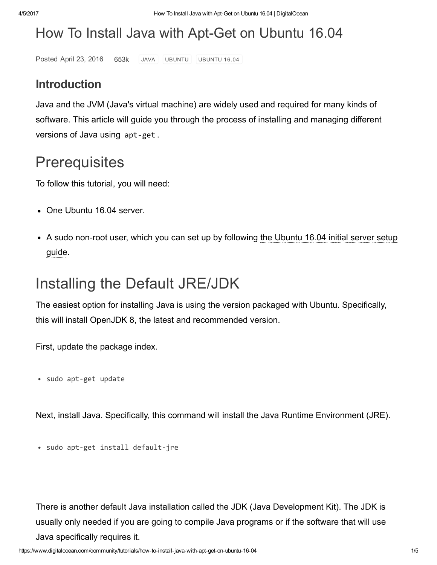# How To Install Java with Apt-Get on Ubuntu 16.04

Posted April 23, 2016 653k [JAVA](https://www.digitalocean.com/community/tags/java?type=tutorials) [UBUNTU](https://www.digitalocean.com/community/tags/ubuntu-16-04?type=tutorials) UBUNTU 16.04

#### Introduction

Java and the JVM (Java's virtual machine) are widely used and required for many kinds of software. This article will guide you through the process of installing and managing different versions of Java using apt‐get .

## **Prerequisites**

To follow this tutorial, you will need:

- One Ubuntu 16.04 server.
- A sudo non-root user, which you can set up by [following](https://www.digitalocean.com/community/tutorials/initial-server-setup-with-ubuntu-16-04) the Ubuntu 16.04 initial server setup guide.

# Installing the Default JRE/JDK

The easiest option for installing Java is using the version packaged with Ubuntu. Specifically, this will install OpenJDK 8, the latest and recommended version.

First, update the package index.

sudo apt‐get update

Next, install Java. Specifically, this command will install the Java Runtime Environment (JRE).

sudo apt‐get install default‐jre

There is another default Java installation called the JDK (Java Development Kit). The JDK is usually only needed if you are going to compile Java programs or if the software that will use Java specifically requires it.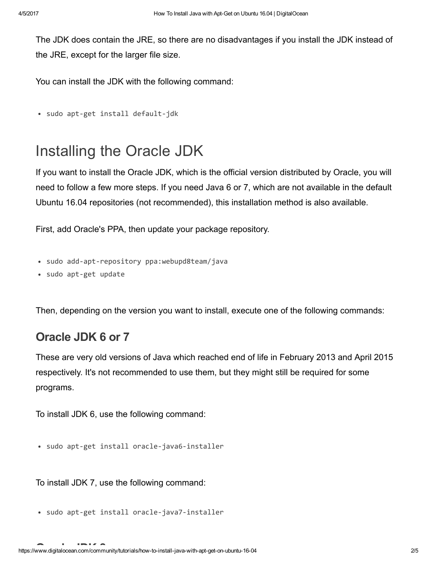The JDK does contain the JRE, so there are no disadvantages if you install the JDK instead of the JRE, except for the larger file size.

You can install the JDK with the following command:

```
sudo apt‐get install default‐jdk
```
## Installing the Oracle JDK

If you want to install the Oracle JDK, which is the official version distributed by Oracle, you will need to follow a few more steps. If you need Java 6 or 7, which are not available in the default Ubuntu 16.04 repositories (not recommended), this installation method is also available.

First, add Oracle's PPA, then update your package repository.

- sudo add-apt-repository ppa:webupd8team/java
- sudo apt‐get update

Then, depending on the version you want to install, execute one of the following commands:

#### Oracle JDK 6 or 7

These are very old versions of Java which reached end of life in February 2013 and April 2015 respectively. It's not recommended to use them, but they might still be required for some programs.

To install JDK 6, use the following command:

• sudo apt-get install oracle-java6-installer

To install JDK 7, use the following command:

sudo apt‐get install oracle‐java7‐installer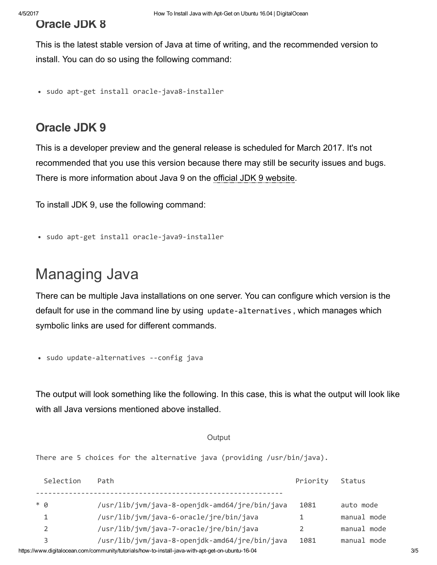### Oracle JDK 8

This is the latest stable version of Java at time of writing, and the recommended version to install. You can do so using the following command:

sudo apt‐get install oracle‐java8‐installer

#### Oracle JDK 9

This is a developer preview and the general release is scheduled for March 2017. It's not recommended that you use this version because there may still be security issues and bugs. There is more information about Java 9 on the official JDK 9 [website](https://jdk9.java.net/).

To install JDK 9, use the following command:

```
sudo apt‐get install oracle‐java9‐installer
```
## Managing Java

There can be multiple Java installations on one server. You can configure which version is the default for use in the command line by using update‐alternatives , which manages which symbolic links are used for different commands.

• sudo update-alternatives --config java

The output will look something like the following. In this case, this is what the output will look like with all Java versions mentioned above installed.

#### **Output**

There are 5 choices for the alternative java (providing /usr/bin/java).

|                                                                                                   | Selection | Path                                           | Priority | Status      |  |  |
|---------------------------------------------------------------------------------------------------|-----------|------------------------------------------------|----------|-------------|--|--|
|                                                                                                   | $*$ 0     | /usr/lib/jvm/java-8-openjdk-amd64/jre/bin/java | 1081     | auto mode   |  |  |
|                                                                                                   |           | /usr/lib/jvm/java-6-oracle/jre/bin/java        |          | manual mode |  |  |
|                                                                                                   | 2         | /usr/lib/jvm/java-7-oracle/jre/bin/java        |          | manual mode |  |  |
|                                                                                                   |           | /usr/lib/jvm/java-8-openjdk-amd64/jre/bin/java | 1081     | manual mode |  |  |
| https://www.digitalocean.com/community/tutorials/how-to-install-java-with-apt-get-on-ubuntu-16-04 |           |                                                |          |             |  |  |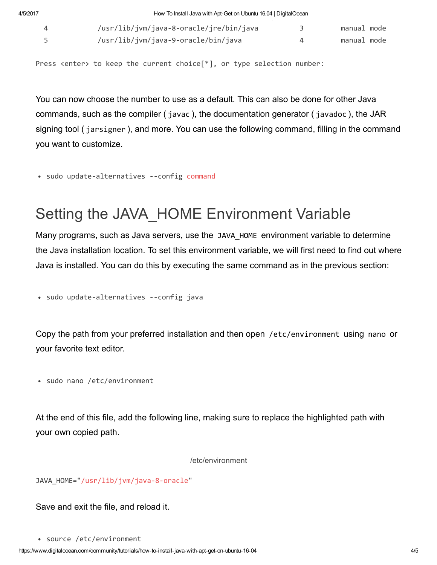4/5/2017 How To Install Java with AptGet on Ubuntu 16.04 | DigitalOcean 3 /usr/lib/jvm/java‐8‐openjdk‐amd64/jre/bin/java 1081 manual mode

| /usr/lib/jvm/java-8-oracle/jre/bin/java | manual mode |
|-----------------------------------------|-------------|
| /usr/lib/jvm/java-9-oracle/bin/java     | manual mode |

Press <enter> to keep the current choice[\*], or type selection number:

You can now choose the number to use as a default. This can also be done for other Java commands, such as the compiler ( javac ), the documentation generator ( javadoc ), the JAR signing tool ( jarsigner ), and more. You can use the following command, filling in the command you want to customize.

• sudo update-alternatives --config command

# Setting the JAVA\_HOME Environment Variable

Many programs, such as Java servers, use the JAVA\_HOME environment variable to determine the Java installation location. To set this environment variable, we will first need to find out where Java is installed. You can do this by executing the same command as in the previous section:

• sudo update-alternatives --config java

Copy the path from your preferred installation and then open /etc/environment using nano or your favorite text editor.

• sudo nano /etc/environment

At the end of this file, add the following line, making sure to replace the highlighted path with your own copied path.

/etc/environment

JAVA HOME="/usr/lib/jvm/java-8-oracle"

Save and exit the file, and reload it.

https://www.digitalocean.com/community/tutorials/how-to-install-java-with-apt-get-on-ubuntu-16-04 4/5